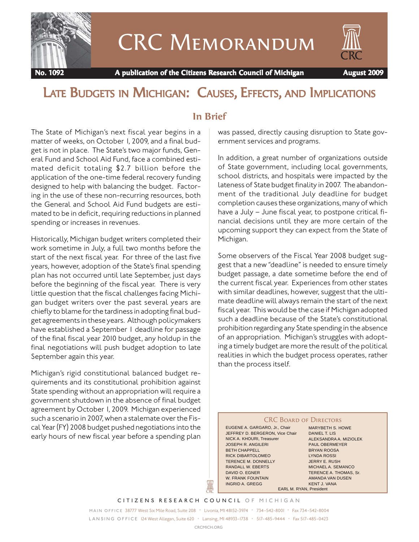

# CRC Memorandum



 **No. 1092 A publication of the Citizens Research Council of Michigan August 2009**

## LATE BUDGETS IN MICHIGAN: CAUSES, EFFECTS, AND IMPLICATIONS

#### **In Brief**

The State of Michigan's next fiscal year begins in a matter of weeks, on October 1, 2009, and a final budget is not in place. The State's two major funds, General Fund and School Aid Fund, face a combined estimated deficit totaling \$2.7 billion before the application of the one-time federal recovery funding designed to help with balancing the budget. Factoring in the use of these non-recurring resources, both the General and School Aid Fund budgets are estimated to be in deficit, requiring reductions in planned spending or increases in revenues.

Historically, Michigan budget writers completed their work sometime in July, a full two months before the start of the next fiscal year. For three of the last five years, however, adoption of the State's final spending plan has not occurred until late September, just days before the beginning of the fiscal year. There is very little question that the fiscal challenges facing Michigan budget writers over the past several years are chiefly to blame for the tardiness in adopting final budget agreements in these years. Although policymakers have established a September 1 deadline for passage of the final fiscal year 2010 budget, any holdup in the final negotiations will push budget adoption to late September again this year.

Michigan's rigid constitutional balanced budget requirements and its constitutional prohibition against State spending without an appropriation will require a government shutdown in the absence of final budget agreement by October 1, 2009. Michigan experienced such a scenario in 2007, when a stalemate over the Fiscal Year (FY) 2008 budget pushed negotiations into the early hours of new fiscal year before a spending plan

was passed, directly causing disruption to State government services and programs.

In addition, a great number of organizations outside of State government, including local governments, school districts, and hospitals were impacted by the lateness of State budget finality in 2007. The abandonment of the traditional July deadline for budget completion causes these organizations, many of which have a July – June fiscal year, to postpone critical financial decisions until they are more certain of the upcoming support they can expect from the State of Michigan.

Some observers of the Fiscal Year 2008 budget suggest that a new "deadline" is needed to ensure timely budget passage, a date sometime before the end of the current fiscal year. Experiences from other states with similar deadlines, however, suggest that the ultimate deadline will always remain the start of the next fiscal year. This would be the case if Michigan adopted such a deadline because of the State's constitutional prohibition regarding any State spending in the absence of an appropriation. Michigan's struggles with adopting a timely budget are more the result of the political realities in which the budget process operates, rather than the process itself.

#### **CRC BOARD OF DIRECTORS**

EUGENE A. GARGARO, Jr., Chair JEFFREY D. BERGERON, Vice Chair NICK A. KHOURI, Treasurer JOSEPH R. ANGILERI BETH CHAPPELL RICK DIBARTOLOMEO TERENCE M. DONNELLY RANDALL W. EBERTS DAVID O. EGNER W. FRANK FOUNTAIN INGRID A. GREGG

MARYBETH S. HOWE DANIEL T. LIS ALEKSANDRA A. MIZIOLEK PAUL OBERMEYER BRYAN ROOSA LYNDA ROSSI JERRY E. RUSH MICHAEL A. SEMANCO TERENCE A. THOMAS, Sr. AMANDA VAN DUSEN KENT J. VANA EARL M. RYAN, President

*CITIZENS RESEARCH COUNCIL OF MICHIGAN*

I

*MAIN OFFICE* 38777 West Six Mile Road, Suite 208 • Livonia, MI 48152-3974 • 734-542-8001 • Fax 734-542-8004 *L A N S I N G O F F I C E* 124 West Allegan, Suite 620 • Lansing, MI 48933-1738 • 517-485-9444 • Fax 517-485-0423

*CRCMICH.ORG*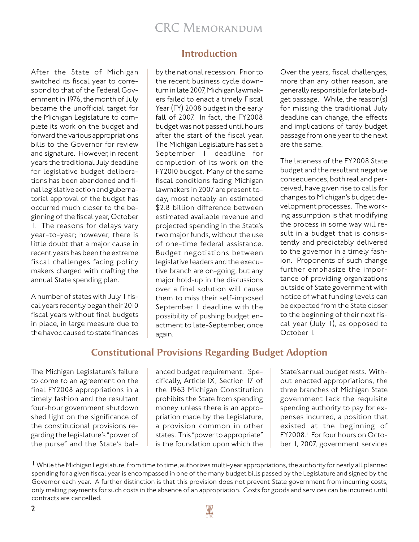After the State of Michigan switched its fiscal year to correspond to that of the Federal Government in 1976, the month of July became the unofficial target for the Michigan Legislature to complete its work on the budget and forward the various appropriations bills to the Governor for review and signature. However, in recent years the traditional July deadline for legislative budget deliberations has been abandoned and final legislative action and gubernatorial approval of the budget has occurred much closer to the beginning of the fiscal year, October 1. The reasons for delays vary year-to-year; however, there is little doubt that a major cause in recent years has been the extreme fiscal challenges facing policy makers charged with crafting the annual State spending plan.

A number of states with July 1 fiscal years recently began their 2010 fiscal years without final budgets in place, in large measure due to the havoc caused to state finances

## **Introduction**

by the national recession. Prior to the recent business cycle downturn in late 2007, Michigan lawmakers failed to enact a timely Fiscal Year (FY) 2008 budget in the early fall of 2007. In fact, the FY2008 budget was not passed until hours after the start of the fiscal year. The Michigan Legislature has set a September 1 deadline for completion of its work on the FY2010 budget. Many of the same fiscal conditions facing Michigan lawmakers in 2007 are present today, most notably an estimated \$2.8 billion difference between estimated available revenue and projected spending in the State's two major funds, without the use of one-time federal assistance. Budget negotiations between legislative leaders and the executive branch are on-going, but any major hold-up in the discussions over a final solution will cause them to miss their self-imposed September 1 deadline with the possibility of pushing budget enactment to late-September, once again.

Over the years, fiscal challenges, more than any other reason, are generally responsible for late budget passage. While, the reason(s) for missing the traditional July deadline can change, the effects and implications of tardy budget passage from one year to the next are the same.

The lateness of the FY2008 State budget and the resultant negative consequences, both real and perceived, have given rise to calls for changes to Michigan's budget development processes. The working assumption is that modifying the process in some way will result in a budget that is consistently and predictably delivered to the governor in a timely fashion. Proponents of such change further emphasize the importance of providing organizations outside of State government with notice of what funding levels can be expected from the State closer to the beginning of their next fiscal year (July 1), as opposed to October 1.

#### **Constitutional Provisions Regarding Budget Adoption**

The Michigan Legislature's failure to come to an agreement on the final FY2008 appropriations in a timely fashion and the resultant four-hour government shutdown shed light on the significance of the constitutional provisions regarding the legislature's "power of the purse" and the State's balanced budget requirement. Specifically, Article IX, Section 17 of the 1963 Michigan Constitution prohibits the State from spending money unless there is an appropriation made by the Legislature, a provision common in other states. This "power to appropriate" is the foundation upon which the

State's annual budget rests. Without enacted appropriations, the three branches of Michigan State government lack the requisite spending authority to pay for expenses incurred, a position that existed at the beginning of FY2008.<sup>1</sup> For four hours on October 1, 2007, government services

<sup>&</sup>lt;sup>1</sup> While the Michigan Legislature, from time to time, authorizes multi-year appropriations, the authority for nearly all planned spending for a given fiscal year is encompassed in one of the many budget bills passed by the Legislature and signed by the Governor each year. A further distinction is that this provision does not prevent State government from incurring costs, only making payments for such costs in the absence of an appropriation. Costs for goods and services can be incurred until contracts are cancelled.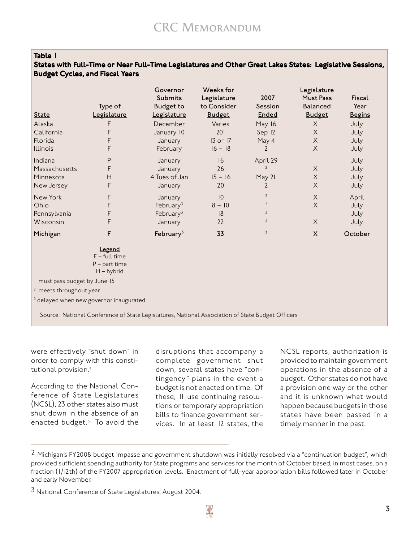#### *Table 1*

#### *States with Full-Time or Near Full-Time Legislatures and Other Great Lakes States: Legislative Sessions, Budget Cycles, and Fiscal Years*

|                                                                                                  | Type of                                                      | Governor<br><b>Submits</b><br><b>Budget to</b> | Weeks for<br>Legislature<br>to Consider | 2007<br>Session | Legislature<br>Must Pass<br><b>Balanced</b> | Fiscal<br>Year |  |
|--------------------------------------------------------------------------------------------------|--------------------------------------------------------------|------------------------------------------------|-----------------------------------------|-----------------|---------------------------------------------|----------------|--|
| <b>State</b>                                                                                     | Legislature                                                  | Legislature                                    | <b>Budget</b>                           | <b>Ended</b>    | <b>Budget</b>                               | <b>Begins</b>  |  |
| Alaska                                                                                           | F                                                            | December                                       | Varies                                  | May 16          | $\times$                                    | July           |  |
| California                                                                                       | F                                                            | January 10                                     | 20 <sup>1</sup>                         | Sep 12          | $\times$                                    | July           |  |
| Florida                                                                                          | F                                                            | January                                        | $13$ or $17$                            | May 4           | X                                           | July           |  |
| <b>Illinois</b>                                                                                  | F                                                            | February                                       | $16 - 18$                               | 2               | X                                           | July           |  |
| Indiana                                                                                          | P                                                            | January                                        | 16                                      | April 29        |                                             | July           |  |
| Massachusetts                                                                                    | F                                                            | January                                        | 26                                      | $\overline{2}$  | X                                           | July           |  |
| Minnesota                                                                                        | H                                                            | 4 Tues of Jan                                  | $15 - 16$                               | May 21          | $\times$                                    | July           |  |
| New Jersey                                                                                       | F                                                            | January                                        | 20                                      | 2               | $\times$                                    | July           |  |
| New York                                                                                         | F                                                            | January                                        | 10                                      | $\overline{2}$  | $\times$                                    | April          |  |
| Ohio                                                                                             | F                                                            | February $3$                                   | $8 - 10$                                | $\overline{2}$  | X                                           | July           |  |
| Pennsylvania                                                                                     | F                                                            | February $3$                                   | 8                                       | $\overline{2}$  |                                             | July           |  |
| Wisconsin                                                                                        | F                                                            | January                                        | 22                                      | $\overline{2}$  | X                                           | July           |  |
| Michigan                                                                                         | F                                                            | February $3$                                   | 33                                      | $\overline{2}$  | $\mathsf{X}$                                | October        |  |
|                                                                                                  | Legend<br>$F$ – full time<br>$P$ – part time<br>$H - hybrid$ |                                                |                                         |                 |                                             |                |  |
| must pass budget by June 15                                                                      |                                                              |                                                |                                         |                 |                                             |                |  |
| <sup>2</sup> meets throughout year                                                               |                                                              |                                                |                                         |                 |                                             |                |  |
| <sup>3</sup> delayed when new governor inaugurated                                               |                                                              |                                                |                                         |                 |                                             |                |  |
| Source: National Conference of State Legislatures; National Association of State Budget Officers |                                                              |                                                |                                         |                 |                                             |                |  |

were effectively "shut down" in order to comply with this constitutional provision.<sup>2</sup>

According to the National Conference of State Legislatures (NCSL), 23 other states also must shut down in the absence of an enacted budget.3 To avoid the

disruptions that accompany a complete government shut down, several states have "contingency" plans in the event a budget is not enacted on time. Of these, 11 use continuing resolutions or temporary appropriation bills to finance government services. In at least 12 states, the

NCSL reports, authorization is provided to maintain government operations in the absence of a budget. Other states do not have a provision one way or the other and it is unknown what would happen because budgets in those states have been passed in a timely manner in the past.

 $2$  Michigan's FY2008 budget impasse and government shutdown was initially resolved via a "continuation budget", which provided sufficient spending authority for State programs and services for the month of October based, in most cases, on a fraction (1/12th) of the FY2007 appropriation levels. Enactment of full-year appropriation bills followed later in October and early November.

<sup>&</sup>lt;sup>3</sup> National Conference of State Legislatures, August 2004.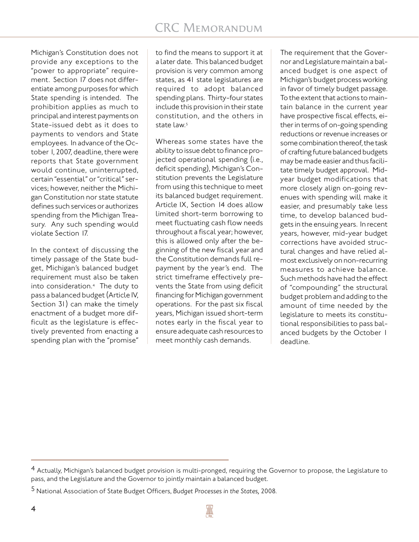Michigan's Constitution does not provide any exceptions to the "power to appropriate" requirement. Section 17 does not differentiate among purposes for which State spending is intended. The prohibition applies as much to principal and interest payments on State-issued debt as it does to payments to vendors and State employees. In advance of the October 1, 2007, deadline, there were reports that State government would continue, uninterrupted, certain "essential" or "critical" services; however, neither the Michigan Constitution nor state statute defines such services or authorizes spending from the Michigan Treasury. Any such spending would violate Section 17.

In the context of discussing the timely passage of the State budget, Michigan's balanced budget requirement must also be taken into consideration.4 The duty to pass a balanced budget (Article IV, Section 31) can make the timely enactment of a budget more difficult as the legislature is effectively prevented from enacting a spending plan with the "promise" to find the means to support it at a later date. This balanced budget provision is very common among states, as 41 state legislatures are required to adopt balanced spending plans. Thirty-four states include this provision in their state constitution, and the others in state law.<sup>5</sup>

Whereas some states have the ability to issue debt to finance projected operational spending (i.e., deficit spending), Michigan's Constitution prevents the Legislature from using this technique to meet its balanced budget requirement. Article IX, Section 14 does allow limited short-term borrowing to meet fluctuating cash flow needs throughout a fiscal year; however, this is allowed only after the beginning of the new fiscal year and the Constitution demands full repayment by the year's end. The strict timeframe effectively prevents the State from using deficit financing for Michigan government operations. For the past six fiscal years, Michigan issued short-term notes early in the fiscal year to ensure adequate cash resources to meet monthly cash demands.

The requirement that the Governor and Legislature maintain a balanced budget is one aspect of Michigan's budget process working in favor of timely budget passage. To the extent that actions to maintain balance in the current year have prospective fiscal effects, either in terms of on-going spending reductions or revenue increases or some combination thereof, the task of crafting future balanced budgets may be made easier and thus facilitate timely budget approval. Midyear budget modifications that more closely align on-going revenues with spending will make it easier, and presumably take less time, to develop balanced budgets in the ensuing years. In recent years, however, mid-year budget corrections have avoided structural changes and have relied almost exclusively on non-recurring measures to achieve balance. Such methods have had the effect of "compounding" the structural budget problem and adding to the amount of time needed by the legislature to meets its constitutional responsibilities to pass balanced budgets by the October 1 deadline.

<sup>4</sup> Actually, Michigan's balanced budget provision is multi-pronged, requiring the Governor to propose, the Legislature to pass, and the Legislature and the Governor to jointly maintain a balanced budget.

<sup>5</sup> National Association of State Budget Officers, *Budget Processes in the States,* 2008.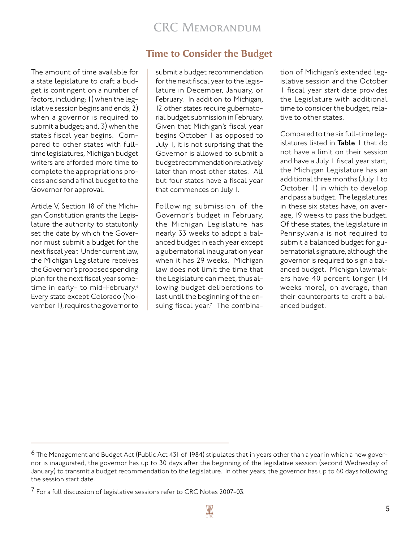The amount of time available for a state legislature to craft a budget is contingent on a number of factors, including: 1) when the legislative session begins and ends; 2) when a governor is required to submit a budget; and, 3) when the state's fiscal year begins. Compared to other states with fulltime legislatures, Michigan budget writers are afforded more time to complete the appropriations process and send a final budget to the Governor for approval.

Article V, Section 18 of the Michigan Constitution grants the Legislature the authority to statutorily set the date by which the Governor must submit a budget for the next fiscal year. Under current law, the Michigan Legislature receives the Governor's proposed spending plan for the next fiscal year sometime in early- to mid-February.<sup>6</sup> Every state except Colorado (November 1), requires the governor to

## **Time to Consider the Budget**

submit a budget recommendation for the next fiscal year to the legislature in December, January, or February. In addition to Michigan, 12 other states require gubernatorial budget submission in February. Given that Michigan's fiscal year begins October 1 as opposed to July 1, it is not surprising that the Governor is allowed to submit a budget recommendation relatively later than most other states. All but four states have a fiscal year that commences on July 1.

Following submission of the Governor's budget in February, the Michigan Legislature has nearly 33 weeks to adopt a balanced budget in each year except a gubernatorial inauguration year when it has 29 weeks. Michigan law does not limit the time that the Legislature can meet, thus allowing budget deliberations to last until the beginning of the ensuing fiscal year.<sup>7</sup> The combination of Michigan's extended legislative session and the October 1 fiscal year start date provides the Legislature with additional time to consider the budget, relative to other states.

Compared to the six full-time legislatures listed in *Table 1* that do not have a limit on their session and have a July 1 fiscal year start, the Michigan Legislature has an additional three months (July 1 to October 1) in which to develop and pass a budget. The legislatures in these six states have, on average, 19 weeks to pass the budget. Of these states, the legislature in Pennsylvania is not required to submit a balanced budget for gubernatorial signature, although the governor is required to sign a balanced budget. Michigan lawmakers have 40 percent longer (14 weeks more), on average, than their counterparts to craft a balanced budget.

<sup>&</sup>lt;sup>6</sup> The Management and Budget Act (Public Act 431 of 1984) stipulates that in years other than a year in which a new governor is inaugurated, the governor has up to 30 days after the beginning of the legislative session (second Wednesday of January) to transmit a budget recommendation to the legislature. In other years, the governor has up to 60 days following the session start date.

 $7$  For a full discussion of legislative sessions refer to CRC Notes 2007-03.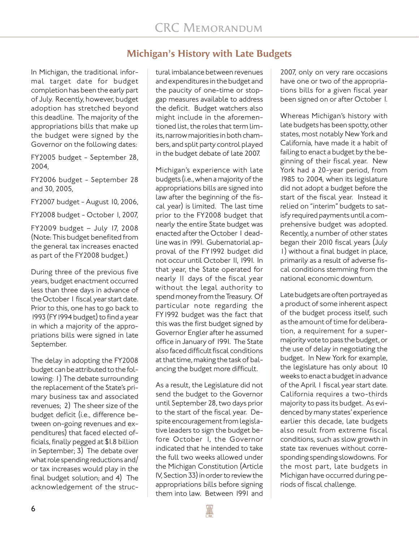## **Michigan's History with Late Budgets**

In Michigan, the traditional informal target date for budget completion has been the early part of July. Recently, however, budget adoption has stretched beyond this deadline. The majority of the appropriations bills that make up the budget were signed by the Governor on the following dates:

FY2005 budget - September 28, 2004,

FY2006 budget - September 28 and 30, 2005,

FY2007 budget - August 10, 2006,

FY2008 budget - October 1, 2007,

FY2009 budget – July 17, 2008 (Note: This budget benefited from the general tax increases enacted as part of the FY2008 budget.)

During three of the previous five years, budget enactment occurred less than three days in advance of the October 1 fiscal year start date. Prior to this, one has to go back to 1993 (FY1994 budget) to find a year in which a majority of the appropriations bills were signed in late September.

The delay in adopting the FY2008 budget can be attributed to the following: 1) The debate surrounding the replacement of the State's primary business tax and associated revenues; 2) The sheer size of the budget deficit (i.e., difference between on-going revenues and expenditures) that faced elected officials, finally pegged at \$1.8 billion in September; 3) The debate over what role spending reductions and/ or tax increases would play in the final budget solution; and 4) The acknowledgement of the struc-

tural imbalance between revenues and expenditures in the budget and the paucity of one-time or stopgap measures available to address the deficit. Budget watchers also might include in the aforementioned list, the roles that term limits, narrow majorities in both chambers, and split party control played in the budget debate of late 2007.

Michigan's experience with late budgets (i.e., when a majority of the appropriations bills are signed into law after the beginning of the fiscal year) is limited. The last time prior to the FY2008 budget that nearly the entire State budget was enacted after the October 1 deadline was in 1991. Gubernatorial approval of the FY1992 budget did not occur until October 11, 1991. In that year, the State operated for nearly 11 days of the fiscal year without the legal authority to spend money from the Treasury. Of particular note regarding the FY1992 budget was the fact that this was the first budget signed by Governor Engler after he assumed office in January of 1991. The State also faced difficult fiscal conditions at that time, making the task of balancing the budget more difficult.

As a result, the Legislature did not send the budget to the Governor until September 28, two days prior to the start of the fiscal year. Despite encouragement from legislative leaders to sign the budget before October 1, the Governor indicated that he intended to take the full two weeks allowed under the Michigan Constitution (Article IV, Section 33) in order to review the appropriations bills before signing them into law. Between 1991 and

2007, only on very rare occasions have one or two of the appropriations bills for a given fiscal year been signed on or after October 1.

Whereas Michigan's history with late budgets has been spotty, other states, most notably New York and California, have made it a habit of failing to enact a budget by the beginning of their fiscal year. New York had a 20-year period, from 1985 to 2004, when its legislature did not adopt a budget before the start of the fiscal year. Instead it relied on "interim" budgets to satisfy required payments until a comprehensive budget was adopted. Recently, a number of other states began their 2010 fiscal years (July 1) without a final budget in place, primarily as a result of adverse fiscal conditions stemming from the national economic downturn.

Late budgets are often portrayed as a product of some inherent aspect of the budget process itself, such as the amount of time for deliberation, a requirement for a supermajority vote to pass the budget, or the use of delay in negotiating the budget. In New York for example, the legislature has only about 10 weeks to enact a budget in advance of the April I fiscal year start date. California requires a two-thirds majority to pass its budget. As evidenced by many states' experience earlier this decade, late budgets also result from extreme fiscal conditions, such as slow growth in state tax revenues without corresponding spending slowdowns. For the most part, late budgets in Michigan have occurred during periods of fiscal challenge.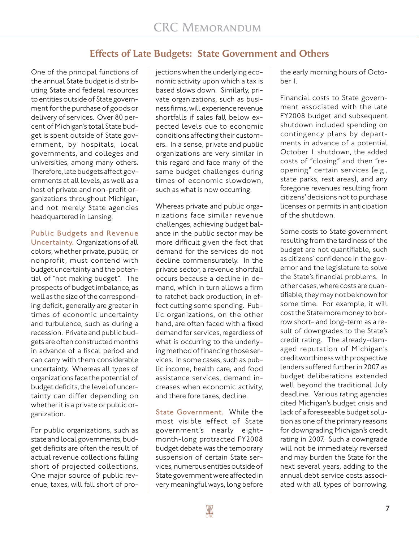#### **Effects of Late Budgets: State Government and Others**

One of the principal functions of the annual State budget is distributing State and federal resources to entities outside of State government for the purchase of goods or delivery of services. Over 80 percent of Michigan's total State budget is spent outside of State government, by hospitals, local governments, and colleges and universities, among many others. Therefore, late budgets affect governments at all levels, as well as a host of private and non-profit organizations throughout Michigan, and not merely State agencies headquartered in Lansing.

#### *Public Budgets and Revenue*

*Uncertainty.*Organizations of all colors, whether private, public, or nonprofit, must contend with budget uncertainty and the potential of "not making budget". The prospects of budget imbalance, as well as the size of the corresponding deficit, generally are greater in times of economic uncertainty and turbulence, such as during a recession. Private and public budgets are often constructed months in advance of a fiscal period and can carry with them considerable uncertainty. Whereas all types of organizations face the potential of budget deficits, the level of uncertainty can differ depending on whether it is a private or public organization.

For public organizations, such as state and local governments, budget deficits are often the result of actual revenue collections falling short of projected collections. One major source of public revenue, taxes, will fall short of projections when the underlying economic activity upon which a tax is based slows down. Similarly, private organizations, such as business firms, will experience revenue shortfalls if sales fall below expected levels due to economic conditions affecting their customers. In a sense, private and public organizations are very similar in this regard and face many of the same budget challenges during times of economic slowdown, such as what is now occurring.

Whereas private and public organizations face similar revenue challenges, achieving budget balance in the public sector may be more difficult given the fact that demand for the services do not decline commensurately. In the private sector, a revenue shortfall occurs because a decline in demand, which in turn allows a firm to ratchet back production, in effect cutting some spending. Public organizations, on the other hand, are often faced with a fixed demand for services, regardless of what is occurring to the underlying method of financing those services. In some cases, such as public income, health care, and food assistance services, demand increases when economic activity, and there fore taxes, decline.

*State Government.* While the most visible effect of State government's nearly eightmonth-long protracted FY2008 budget debate was the temporary suspension of certain State services, numerous entities outside of State government were affected in very meaningful ways, long before

the early morning hours of October 1.

Financial costs to State government associated with the late FY2008 budget and subsequent shutdown included spending on contingency plans by departments in advance of a potential October 1 shutdown, the added costs of "closing" and then "reopening" certain services (e.g., state parks, rest areas), and any foregone revenues resulting from citizens' decisions not to purchase licenses or permits in anticipation of the shutdown.

Some costs to State government resulting from the tardiness of the budget are not quantifiable, such as citizens' confidence in the governor and the legislature to solve the State's financial problems. In other cases, where costs are quantifiable, they may not be known for some time. For example, it will cost the State more money to borrow short- and long-term as a result of downgrades to the State's credit rating. The already-damaged reputation of Michigan's creditworthiness with prospective lenders suffered further in 2007 as budget deliberations extended well beyond the traditional July deadline. Various rating agencies cited Michigan's budget crisis and lack of a foreseeable budget solution as one of the primary reasons for downgrading Michigan's credit rating in 2007. Such a downgrade will not be immediately reversed and may burden the State for the next several years, adding to the annual debt service costs associated with all types of borrowing.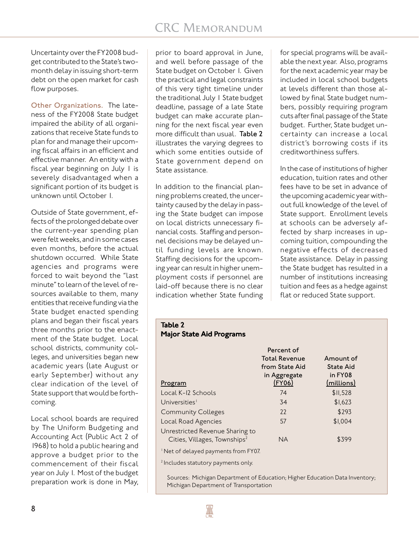Uncertainty over the FY2008 budget contributed to the State's twomonth delay in issuing short-term debt on the open market for cash flow purposes.

*Other Organizations.*The lateness of the FY2008 State budget impaired the ability of all organizations that receive State funds to plan for and manage their upcoming fiscal affairs in an efficient and effective manner. An entity with a fiscal year beginning on July 1 is severely disadvantaged when a significant portion of its budget is unknown until October 1.

Outside of State government, effects of the prolonged debate over the current-year spending plan were felt weeks, and in some cases even months, before the actual shutdown occurred. While State agencies and programs were forced to wait beyond the "last minute" to learn of the level of resources available to them, many entities that receive funding via the State budget enacted spending plans and began their fiscal years three months prior to the enactment of the State budget. Local school districts, community colleges, and universities began new academic years (late August or early September) without any clear indication of the level of State support that would be forthcoming.

Local school boards are required by The Uniform Budgeting and Accounting Act (Public Act 2 of 1968) to hold a public hearing and approve a budget prior to the commencement of their fiscal year on July 1. Most of the budget preparation work is done in May,

prior to board approval in June, and well before passage of the State budget on October I. Given the practical and legal constraints of this very tight timeline under the traditional July 1 State budget deadline, passage of a late State budget can make accurate planning for the next fiscal year even more difficult than usual. *Table 2* illustrates the varying degrees to which some entities outside of State government depend on State assistance.

In addition to the financial planning problems created, the uncertainty caused by the delay in passing the State budget can impose on local districts unnecessary financial costs. Staffing and personnel decisions may be delayed until funding levels are known. Staffing decisions for the upcoming year can result in higher unemployment costs if personnel are laid-off because there is no clear indication whether State funding for special programs will be available the next year. Also, programs for the next academic year may be included in local school budgets at levels different than those allowed by final State budget numbers, possibly requiring program cuts after final passage of the State budget. Further, State budget uncertainty can increase a local district's borrowing costs if its creditworthiness suffers.

In the case of institutions of higher education, tuition rates and other fees have to be set in advance of the upcoming academic year without full knowledge of the level of State support. Enrollment levels at schools can be adversely affected by sharp increases in upcoming tuition, compounding the negative effects of decreased State assistance. Delay in passing the State budget has resulted in a number of institutions increasing tuition and fees as a hedge against flat or reduced State support.

#### *Table 2 Major State Aid Programs*

| Program                                                                     | <b>Total Revenue</b><br>from State Aid<br>in Aggregate<br>$($ FY06 $)$ | Amount of<br><b>State Aid</b><br>in FY08<br>(millions) |
|-----------------------------------------------------------------------------|------------------------------------------------------------------------|--------------------------------------------------------|
| Local K-12 Schools                                                          | 74                                                                     | \$11,528                                               |
| Universities <sup>1</sup>                                                   | 34                                                                     | \$1,623                                                |
| <b>Community Colleges</b>                                                   | 22                                                                     | \$293                                                  |
| Local Road Agencies                                                         | .57                                                                    | \$1,004                                                |
| Unrestricted Revenue Sharing to<br>Cities, Villages, Townships <sup>2</sup> | <b>NA</b>                                                              | \$399                                                  |
| <sup>1</sup> Net of delayed payments from FY07.                             |                                                                        |                                                        |
| <sup>2</sup> Includes statutory payments only.                              |                                                                        |                                                        |

*Percent of*

Sources: Michigan Department of Education; Higher Education Data Inventory; Michigan Department of Transportation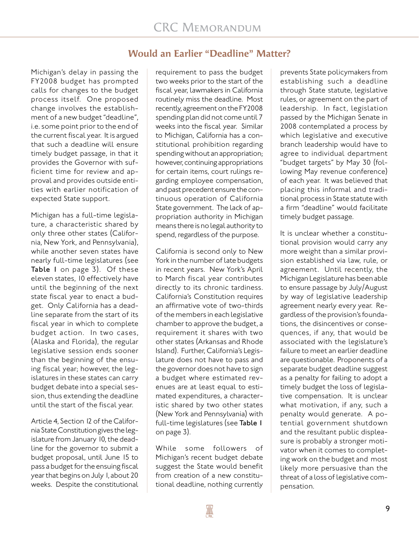## **Would an Earlier "Deadline" Matter?**

Michigan's delay in passing the FY2008 budget has prompted calls for changes to the budget process itself. One proposed change involves the establishment of a new budget "deadline", i.e. some point prior to the end of the current fiscal year. It is argued that such a deadline will ensure timely budget passage, in that it provides the Governor with sufficient time for review and approval and provides outside entities with earlier notification of expected State support.

Michigan has a full-time legislature, a characteristic shared by only three other states (California, New York, and Pennsylvania), while another seven states have nearly full-time legislatures (see *Table 1* on page 3). Of these eleven states, 10 effectively have until the beginning of the next state fiscal year to enact a budget. Only California has a deadline separate from the start of its fiscal year in which to complete budget action. In two cases, (Alaska and Florida), the regular legislative session ends sooner than the beginning of the ensuing fiscal year; however, the legislatures in these states can carry budget debate into a special session, thus extending the deadline until the start of the fiscal year.

Article 4, Section 12 of the California State Constitution gives the legislature from January 10, the deadline for the governor to submit a budget proposal, until June 15 to pass a budget for the ensuing fiscal year that begins on July 1, about 20 weeks. Despite the constitutional

requirement to pass the budget two weeks prior to the start of the fiscal year, lawmakers in California routinely miss the deadline. Most recently, agreement on the FY2008 spending plan did not come until 7 weeks into the fiscal year. Similar to Michigan, California has a constitutional prohibition regarding spending without an appropriation; however, continuing appropriations for certain items, court rulings regarding employee compensation, and past precedent ensure the continuous operation of California State government. The lack of appropriation authority in Michigan means there is no legal authority to spend, regardless of the purpose.

California is second only to New York in the number of late budgets in recent years. New York's April to March fiscal year contributes directly to its chronic tardiness. California's Constitution requires an affirmative vote of two-thirds of the members in each legislative chamber to approve the budget, a requirement it shares with two other states (Arkansas and Rhode Island). Further, California's Legislature does not have to pass and the governor does not have to sign a budget where estimated revenues are at least equal to estimated expenditures, a characteristic shared by two other states (New York and Pennsylvania) with full-time legislatures (see *Table 1* on page 3).

While some followers of Michigan's recent budget debate suggest the State would benefit from creation of a new constitutional deadline, nothing currently

prevents State policymakers from establishing such a deadline through State statute, legislative rules, or agreement on the part of leadership. In fact, legislation passed by the Michigan Senate in 2008 contemplated a process by which legislative and executive branch leadership would have to agree to individual department "budget targets" by May 30 (following May revenue conference) of each year. It was believed that placing this informal and traditional process in State statute with a firm "deadline" would facilitate timely budget passage.

It is unclear whether a constitutional provision would carry any more weight than a similar provision established via law, rule, or agreement. Until recently, the Michigan Legislature has been able to ensure passage by July/August by way of legislative leadership agreement nearly every year. Regardless of the provision's foundations, the disincentives or consequences, if any, that would be associated with the legislature's failure to meet an earlier deadline are questionable. Proponents of a separate budget deadline suggest as a penalty for failing to adopt a timely budget the loss of legislative compensation. It is unclear what motivation, if any, such a penalty would generate. A potential government shutdown and the resultant public displeasure is probably a stronger motivator when it comes to completing work on the budget and most likely more persuasive than the threat of a loss of legislative compensation.